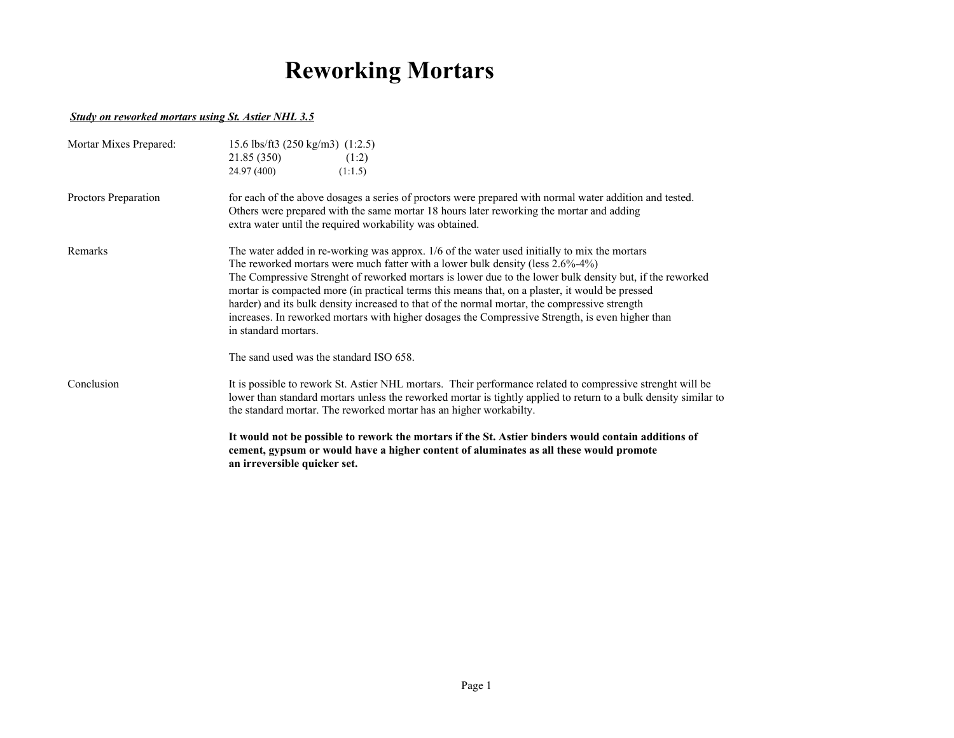## **Reworking Mortars**

## *Study on reworked mortars using St. Astier NHL 3.5*

| Mortar Mixes Prepared: | 15.6 lbs/ft3 (250 kg/m3) $(1:2.5)$<br>21.85 (350)<br>(1:2)<br>24.97 (400)<br>(1:1.5)                                                                                                                                                                                                                                                                                                                                                                                                                                                                                                                                                                                         |  |  |  |  |  |
|------------------------|------------------------------------------------------------------------------------------------------------------------------------------------------------------------------------------------------------------------------------------------------------------------------------------------------------------------------------------------------------------------------------------------------------------------------------------------------------------------------------------------------------------------------------------------------------------------------------------------------------------------------------------------------------------------------|--|--|--|--|--|
| Proctors Preparation   | for each of the above dosages a series of proctors were prepared with normal water addition and tested.<br>Others were prepared with the same mortar 18 hours later reworking the mortar and adding<br>extra water until the required workability was obtained.                                                                                                                                                                                                                                                                                                                                                                                                              |  |  |  |  |  |
| Remarks                | The water added in re-working was approx. 1/6 of the water used initially to mix the mortars<br>The reworked mortars were much fatter with a lower bulk density (less $2.6\% - 4\%$ )<br>The Compressive Strenght of reworked mortars is lower due to the lower bulk density but, if the reworked<br>mortar is compacted more (in practical terms this means that, on a plaster, it would be pressed<br>harder) and its bulk density increased to that of the normal mortar, the compressive strength<br>increases. In reworked mortars with higher dosages the Compressive Strength, is even higher than<br>in standard mortars.<br>The sand used was the standard ISO 658. |  |  |  |  |  |
|                        |                                                                                                                                                                                                                                                                                                                                                                                                                                                                                                                                                                                                                                                                              |  |  |  |  |  |
| Conclusion             | It is possible to rework St. Astier NHL mortars. Their performance related to compressive strenght will be<br>lower than standard mortars unless the reworked mortar is tightly applied to return to a bulk density similar to<br>the standard mortar. The reworked mortar has an higher workabilty.                                                                                                                                                                                                                                                                                                                                                                         |  |  |  |  |  |
|                        | It would not be possible to rework the mortars if the St. Astier binders would contain additions of<br>cement, gypsum or would have a higher content of aluminates as all these would promote<br>an irreversible quicker set.                                                                                                                                                                                                                                                                                                                                                                                                                                                |  |  |  |  |  |